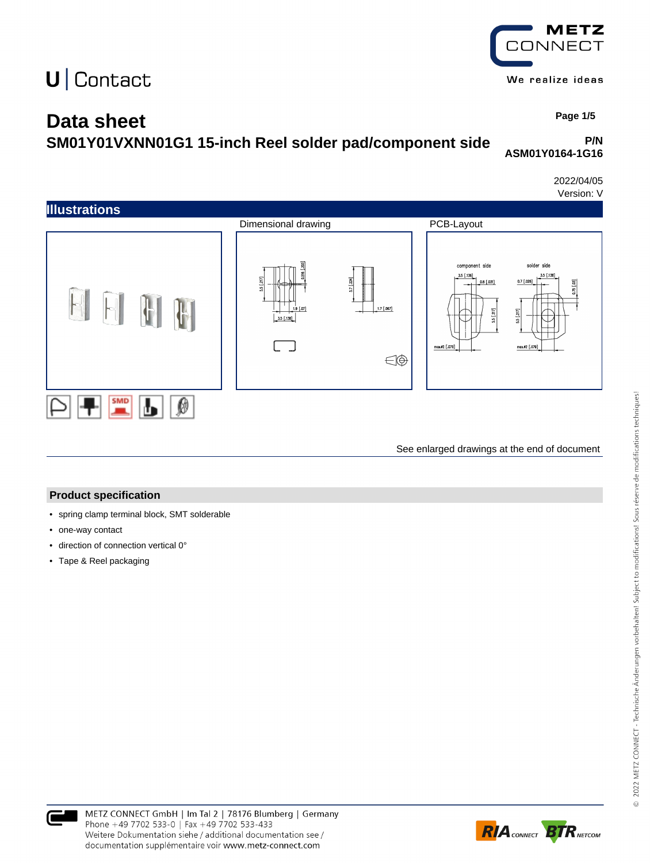### **Data sheet**

**SM01Y01VXNN01G1 15-inch Reel solder pad/component side**

**P/N ASM01Y0164-1G16**

**CONNECT** 

We realize ideas

2022/04/05 Version: V



See enlarged drawings at the end of document

#### **Product specification**

- spring clamp terminal block, SMT solderable
- one-way contact
- direction of connection vertical 0°
- Tape & Reel packaging



 **Page 1/5**

**METZ**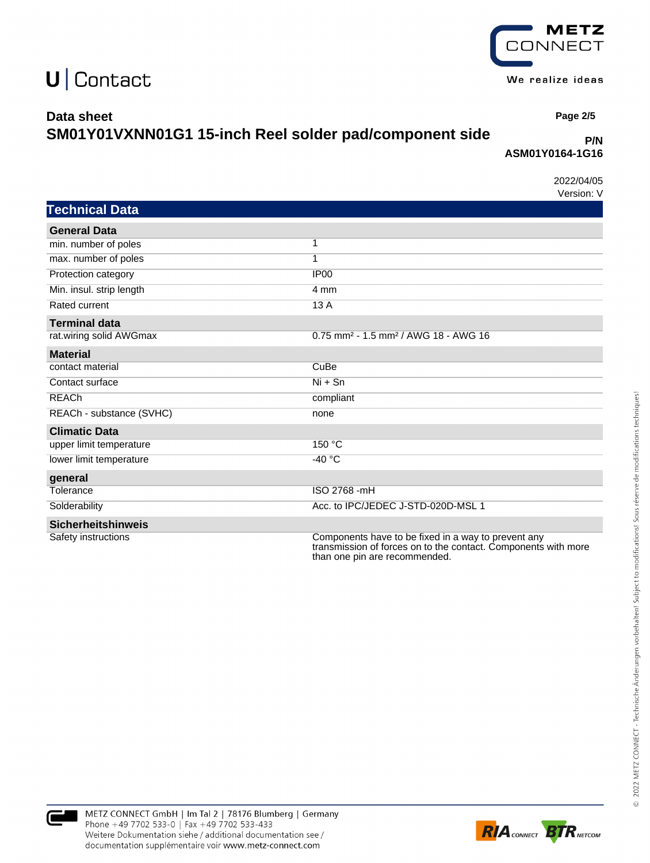

We realize ideas

## $U$  Contact

#### **Data sheet**

## **SM01Y01VXNN01G1 15-inch Reel solder pad/component side**

#### **P/N ASM01Y0164-1G16**

2022/04/05 Version: V

 **Page 2/5**

| <b>Technical Data</b>     |                                                                                                                                                        |
|---------------------------|--------------------------------------------------------------------------------------------------------------------------------------------------------|
| <b>General Data</b>       |                                                                                                                                                        |
| min. number of poles      | 1                                                                                                                                                      |
| max. number of poles      | $\overline{1}$                                                                                                                                         |
| Protection category       | IP <sub>00</sub>                                                                                                                                       |
| Min. insul. strip length  | 4 mm                                                                                                                                                   |
| Rated current             | 13A                                                                                                                                                    |
| <b>Terminal data</b>      |                                                                                                                                                        |
| rat.wiring solid AWGmax   | 0.75 mm <sup>2</sup> - 1.5 mm <sup>2</sup> / AWG 18 - AWG 16                                                                                           |
| <b>Material</b>           |                                                                                                                                                        |
| contact material          | CuBe                                                                                                                                                   |
| Contact surface           | $Ni + Sn$                                                                                                                                              |
| <b>REACh</b>              | compliant                                                                                                                                              |
| REACh - substance (SVHC)  | none                                                                                                                                                   |
| <b>Climatic Data</b>      |                                                                                                                                                        |
| upper limit temperature   | 150 °C                                                                                                                                                 |
| lower limit temperature   | $-40 °C$                                                                                                                                               |
| general                   |                                                                                                                                                        |
| Tolerance                 | ISO 2768 -mH                                                                                                                                           |
| Solderability             | Acc. to IPC/JEDEC J-STD-020D-MSL 1                                                                                                                     |
| <b>Sicherheitshinweis</b> |                                                                                                                                                        |
| Safety instructions       | Components have to be fixed in a way to prevent any<br>transmission of forces on to the contact. Components with more<br>than one pin are recommended. |



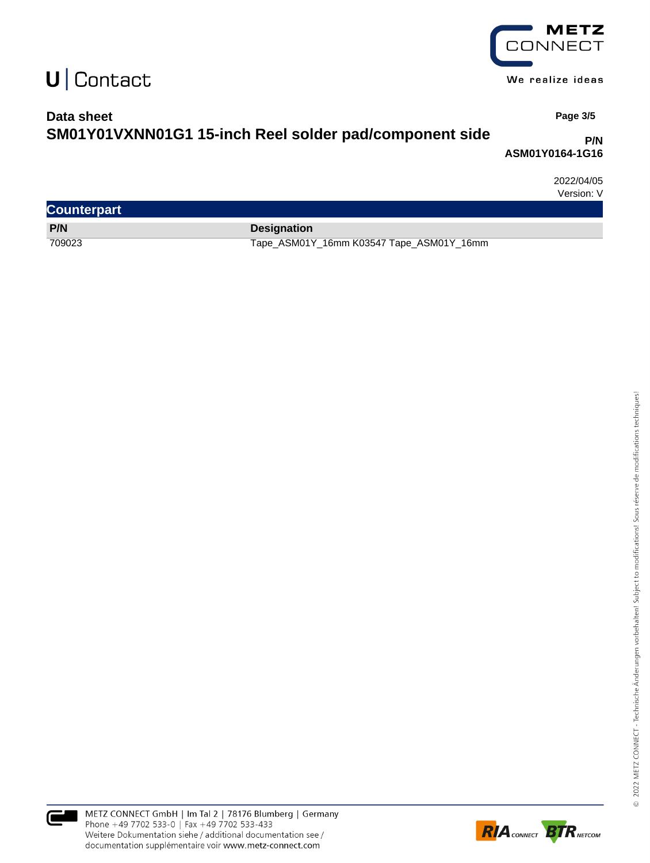

We realize ideas

### **Data sheet SM01Y01VXNN01G1 15-inch Reel solder pad/component side**

 **Page 3/5**

#### **P/N ASM01Y0164-1G16**

2022/04/05 Version: V

| <b>Counterpart</b> |                                          |
|--------------------|------------------------------------------|
| P/N                | <b>Designation</b>                       |
| 709023             | Tape_ASM01Y_16mm K03547 Tape_ASM01Y_16mm |



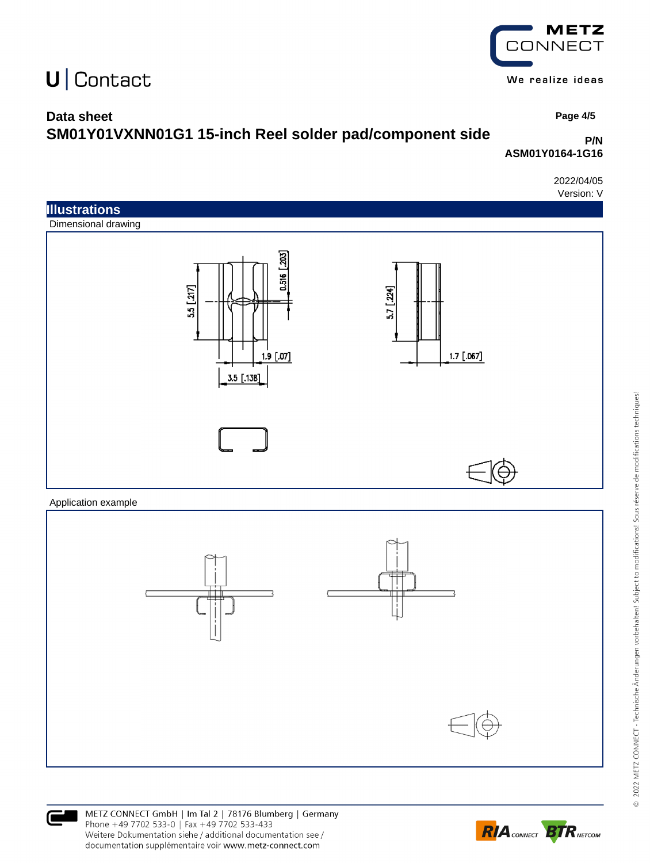## METZ **CONNECT**

We realize ideas

### **Data sheet**

## **SM01Y01VXNN01G1 15-inch Reel solder pad/component side**

#### **P/N ASM01Y0164-1G16**

2022/04/05 Version: V

 **Page 4/5**